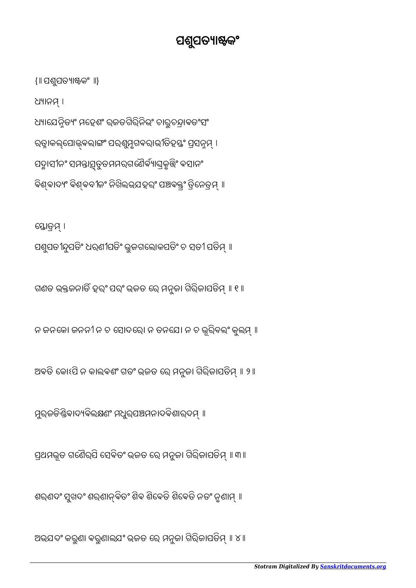ଅଭଯଦଂ କରୁଣା ବରୁଣାଲଯଂ ଭ୍ରଜତ ରେ ମନୁଜା ଗିରିଜାପତିମ୍ ॥ ୪ ॥

ଶରଣଦଂ ସୁଖଦଂ ଶରଣାନ୍ବିତଂ ଶିବ ଶିବେତି ଶିବେତି ନତଂ ନୃଶାମ୍ ॥

ପ୍ରଥମଭୂତ ଗଣୈର୍ପି ସେବିତଂ ଭ୍ରଜତ ରେ ମନୁଜା ଗିରିଜାପତିମ୍ ॥ ୩॥

ମୁର୍ଜଡିଣ୍ଡିବାଦ୍ୟବିଲକ୍ଷଣଂ ମଧୁର୍ପଞ୍ଚମନାଦବିଶାରଦମ୍ ॥

ଅବତି କୋଽପି ନ କାଲବଶଂ ଗତଂ ଭ୍ରଜତ ରେ ମନୁଜା ଗିରିଜାପତିମ୍ ॥ ୨ ॥

ନ ଜନକୋ ଜନନୀନ ଚ ସୋଦରୋ ନ ତନଯେ। ନ ଚ ଭୂରିବଲଂ କୁଲମ୍ ॥

ଗଣତ ଭକ୍ତଜନାତି ହରଂ ପରଂ ଭଜତ ରେ ମନୁଜା ଗିରିଜାପତିମ୍ ॥ ୧ ॥

ସ୍ତୋତ୍ରମ୍ । ପଶୁପତୀନ୍ଦୁପତିଂ ଧରଣୀପତିଂ ଭୁଜଗଲୋକପତିଂ ଚ ସତୀ ପତିମ୍ ॥

{॥ ପଶୁପତ୍ୟାଷ୍ଟକଂ ॥} ଧ୍ୟାନମ୍ । ଧ୍ୟାଯେନ୍ନିତ୍ୟଂ ମହେଶଂ ରଜତଗିରିନିଭଂ ଚାରୁଚନ୍ଦ୍ରାବତଂସଂ ରତ୍ନାକଲ୍ପୋଜ୍ବଲାଙ୍ଗଂ ପରଶୁମୃଗବରାଭୀତିହସ୍ତଂ ପ୍ରସନ୍ନମ୍ । ପଦ୍ମାସୀନଂ ସମନ୍ତାତ୍ସ୍ତୁତମମର୍ ଗର୍ଶେର୍ବ୍ୟାଘ୍ରକୃତ୍ତିଂ ବସାନଂ ବିଶ୍ବାଦ୍ୟଂ ବିଶ୍ବବୀଜଂ ନିଖିଲଭଯହରଂ ପଞ୍ଚବକ୍ତ୍ରଂ ତ୍ରିନେତ୍ରମ୍ ॥

## ପଶୁପତ୍ୟାଷ୍ଟକଂ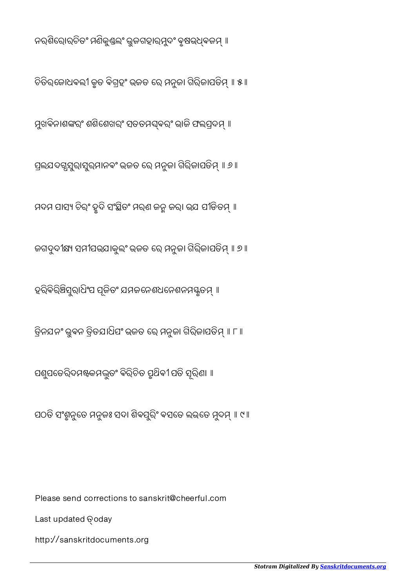http://sanskritdocuments.org

Last updated Qoday

Please send corrections to sanskrit@cheerful.com

ପଠତି ସଂଶ୍ଯୁଦ୍ୱତେ ମନୁଜଃ ସଦା ଶିବସୁରିଂ ବସତେ ଲଭତେ ମୁଦମ୍ ॥ ୯ ॥

ପଶୁପତେରିଦମଷ୍ଟକମଦ୍ଭୁତଂ ବିରିଚିତ ପୃଥିବୀ ପତି ସୂରିଣା ॥

ତ୍ରିନଯନଂ ଭୁବନ ତ୍ରିତଯାଧିପଂ ଭ୍ରଜତ ରେ ମନୁଜା ଗିରିଜାପତିମ୍ ॥ ୮ ॥

ହରିବିରିଞ୍ଚିସୁରାଧିଂପ ପୂଜିତଂ ଯମଜନେଶଧନେଶନମ୍ୟକୃତମ୍ ॥

ଜଗଦୁଦୀକ୍ଷ୍ୟ ସମୀପଭଯାକୁଲଂ ଭ୍ରଜତ ରେ ମନୁଜା ଗିରିଜାପତିମ୍ ॥ ୭ ॥

ମଦମ ପାସ୍ୟ ଚିରଂ ଦ୍ରୁଦି ସଂସ୍ଥିତଂ ମରଣ ଜନ୍ମ ଜରା ଭଯ ପୀଡିତମ୍ ॥

ପ୍ରଲଯଦଗ୍ୱସୁରାସୁର୍ମାନବଂ ଭ୍ରଜତ ରେ ମନୁଜା ଗିରିଜାପତିମ୍ ॥ ୬ ॥

ମୁଖବିନାଶଙ୍କରଂ ଶଶିଶେଖରଂ ସତତମଘ୍**ବରଂ ଭାଜି ଫଲପ୍ରଦମ୍** ॥

ଚିତିରଜୋଧବଲୀ କୃତ ବିଗ୍ରହଂ ଭଜତ ରେ ମନୁଜା ଗିରିଜାପତିମ୍ ॥ ୫ ॥

ନରଶିରୋରଚିତଂ ମଣିକୁଣ୍ଡଲଂ ଭୁଜଗହାରମୁଦଂ ବୃଷଭଧ୍ବଜମ୍ ॥